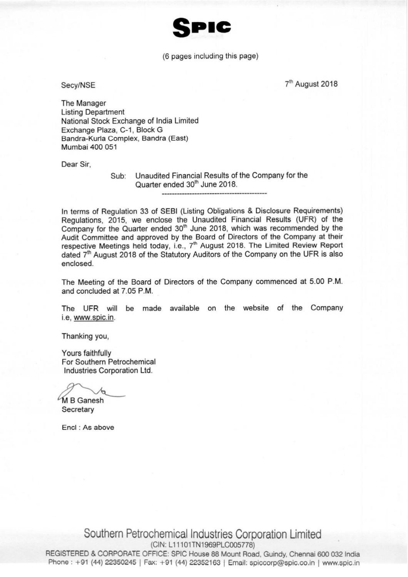

## (6 pages including this page)

Secy/NSE 7<sup>th</sup> August 2018

The Manager Listing Department National Stock Exchange of India Limited Exchange Plaza, C-1, Block G Bandra-Kurla Complex, Bandra (East) Mumbai 400 051

Dear Sir,

Sub: Unaudited Financial Results of the Company for the Quarter ended 30<sup>th</sup> June 2018.

In terms of Regulation 33 of SEBI (Listing Obligations & Disclosure Requirements) Regulations, 2015, we enclose the Unaudited Financial Results (UFR) of the Company for the Quarter ended 30'h June 2018, which was recommended by the Audit Committee and approved by the Board of Directors of the Company at their respective Meetings held today, i.e., 7<sup>th</sup> August 2018. The Limited Review Report dated  $7^{\mathsf{m}}$  August 2018 of the Statutory Auditors of the Company on the UFR is also enclosed.

The Meeting of the Board of Directors of the Company commenced at 5.00 P.M. and concluded at 7.05 P.M.

The UFR will be made available on the website of the Company i.e, www.sgic.in.

Thanking you,

Yours faithfully For Southern Petrochemical Industries Corporation Ltd.

M B Ganesh **Secretary** 

Encl : As above

Southern Petrochemical Industries Corporation Limited (GIN: L11101TN1969PL0005778) REGISTERED & CORPORATE OFFICE: SPIC House 88 Mount Road. Guindy, Chennai 600 032 India

Phone: +91 (44) 22350245 | Fax: +91 (44) 22352163 | Email: spiccorp@spic.co.in | www.spic.in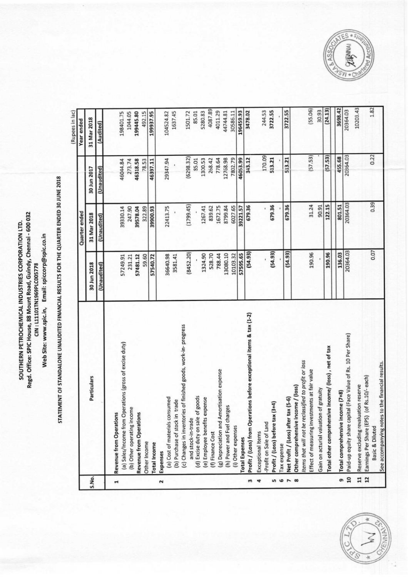## $-1.5$ PETROCHEMICAL INDUSTRIES Corporation of the corporation of the corporation of the corporation of the corporation of the corporation of the corporation of the corporation of the corporation of the corporation of the corporation of the corporation o SOUTHERN PETROCHEMICAL INDUSTRIES CORPORATION LTD. Regd.  $\check{ }$  $\cdot$ House, 8  $-$ Road,  $\tilde{\phantom{a}}$ Chennai - 6  $\tilde{ }$  $\checkmark$  $\frac{1}{11}$ <br> $\frac{1}{11}$ Web Site:<br>Notes Email: spiccorp@spic.co.in<br>|<br>|al BESLIITS EOR THE QUART

## OF FINANCIAL COMPONENTS COMPONENTS <u>results and the subset of the subset of the subset of the subset of the subset of the subset of the subset of the subset of the subset of the subset of the subset of the subset of the subset of the subset of the subset of</u> FOR THE R. P. LEWIS CO., LANSING MICH. <u>quarter and the contract of the contract of the contract of the contract of the contract of the contract of the contract of the contract of the contract of the contract of the contract of the contract of the contract of t</u> ENDED 30 .  $22$

|                       |                                                                                       |             | Quarter ended |             | Year ended  |
|-----------------------|---------------------------------------------------------------------------------------|-------------|---------------|-------------|-------------|
| S.No.                 | Particulars                                                                           | 30 Jun 2018 | 31 Mar 2018   | 30 Jun 2017 | 31 Mar 2018 |
|                       |                                                                                       | (Unaudited) | (Unaudited)   | (Unaudited) | (Audited)   |
| $\mathbf{r}$          | Revenue from Operations                                                               |             |               |             |             |
|                       | (a) Sales/Income from Operations (gross of excise duty)                               | 57249.91    | 39330.14      | 46044.84    | 198401.75   |
|                       | (b) Other operating income                                                            | 231.21      | 247.90        | 273.74      | 1044.05     |
|                       | Revenue from Operations                                                               | 57481.12    | 39578.04      | 46318.58    | 199445.80   |
|                       | Other Income                                                                          | 59.60       | 322.89        | 78.53       | 492.15      |
|                       | <b>Total Income</b>                                                                   | 57540.72    | 39900.93      | 46397.11    | 199937.95   |
| 2                     | Expenses                                                                              |             |               |             |             |
|                       | (a) Cost of materials consumed                                                        | 36640.98    | 22413.75      | 29347.94    | 104524.82   |
|                       | (b) Purchase of stock in trade                                                        | 3581.41     |               |             | 1637.45     |
|                       | (c) Changes in inventories of finished goods, work-in-progress                        |             |               | (6298.32)   | 1501.72     |
|                       | and stock-in-trade                                                                    | (8452.20)   | (1799.45)     | 85.01       | 85.01       |
|                       | (d) Excise duty on sale of goods                                                      |             |               |             | 5280.83     |
|                       | (e) Employee benefits expense                                                         | 1324.90     | 1267.41       | 1300.53     |             |
|                       | (f) Finance Cost                                                                      | 528.70      | 839.62        | 268.42      | 4087.89     |
|                       | (g) Depreciation and Amortisation expense                                             | 788.44      | 1672.75       | 778.64      | 4011.29     |
|                       | (h) Power and Fuel charges                                                            | 13080.10    | 8799.84       | 12768.98    | 44744.81    |
|                       | (i) Other expenses                                                                    | 10103.32    | 6027.65       | 7802.79     | 30586.11    |
|                       | <b>Total Expenses</b>                                                                 | 57595.65    | 39221.57      | 46053.99    | 196459.93   |
| w                     | Profit / (Loss) from Operations before exceptional items & tax (1-2)                  | (54.93)     | 679.36        | 343.12      | 3478.02     |
| 4                     | Exceptional Items                                                                     |             |               |             |             |
|                       | -Profit on Sale of Land                                                               |             |               | 170.09      | 244.53      |
| 5                     | Profit / (Loss) before tax (3+4)                                                      | (54.93)     | 679.36        | 513.21      | 3722.55     |
| $\pmb{\omega}$        | Tax expense                                                                           |             |               |             |             |
| $\sim$ $\infty$       | Net Profit / (Loss) after tax (5-6)                                                   | (54.93)     | 679.36        | 513.21      | 3722.55     |
|                       | Other comprehensive income / (loss)                                                   |             |               |             |             |
|                       | Items that will not be reclassified to profit or loss                                 |             |               |             |             |
|                       | Effect of measuring investments at fair value                                         | 190.96      | 31.24         | (57.53)     | (55.06)     |
|                       | Gain on acturial valuation of gratuity                                                |             | 90.91         |             | 30.93       |
|                       | Total other comprehensive income/ (loss), net of tax                                  | 190.96      | 122.15        | (57.53)     | (24.13)     |
| ø                     | Total comprehensive income (7+8)                                                      | 136.03      | 801.51        | 455.68      | 3698.42     |
| 10                    | Paid-up equity share capital (Face Value of Rs. 10 Per Share)                         | 20364.03    | 20364.03      | 20364.03    | 20364.03    |
|                       |                                                                                       |             |               |             | 10203.43    |
| 11<br>$\overline{12}$ | (of Rs.10/-each)<br>Reserve excluding revaluation reserve<br>Earnings Per Share (EPS) |             |               |             |             |
|                       | Basic & Diluted                                                                       | 0.07        | 0.39          | 0.22        | 1.82        |
|                       | to the financial results.<br>See accompanying notes                                   |             |               |             |             |



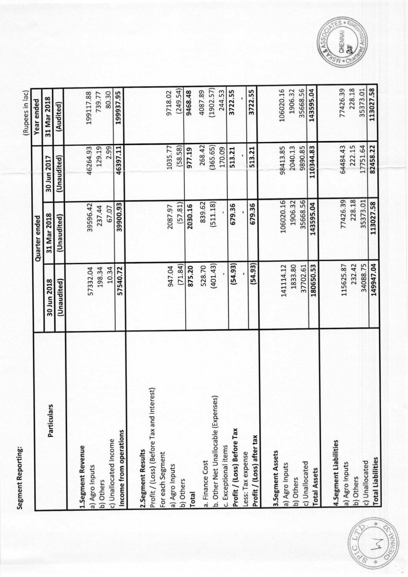Segment Reporting:

in  $\approx$ 

|                                           |             | Quarter ended |             | Year ended  |
|-------------------------------------------|-------------|---------------|-------------|-------------|
| Particulars                               | 30 Jun 2018 | 31 Mar 2018   | 30 Jun 2017 | 31 Mar 2018 |
|                                           | (Unaudited) | (Unaudited)   | (Unaudited) | (Audited)   |
|                                           |             |               |             |             |
| 1.Segment Revenue<br>a) Agro Inputs       | 57332.04    | 39596.42      | 46264.93    | 199117.88   |
| b) Others                                 | 198.34      | 237.44        | 129.19      | 739.77      |
| c) Unallocated Income                     | 10.34       | 67.07         | 2.99        | 80.30       |
| Income from operations                    | 57540.72    | 39900.93      | 46397.11    | 199937.95   |
| 2.Segment Results                         |             |               |             |             |
| Profit / (Loss) (Before Tax and Interest) |             |               |             |             |
| For each Segment                          | 947.04      | 2087.97       | 1035.77     | 9718.02     |
| a) Agro Inputs<br>b) Others               | (71.84)     | 57.81         | (58.58)     | (249.54)    |
| <b>Total</b>                              | 875.20      | 2030.16       | 977.19      | 9468.48     |
| a. Finance Cost                           | 528.70      | 839.62        | 268.42      | 4087.89     |
| b. Other Net Unallocable (Expenses)       | (401.43)    | (511.18)      | (365.65)    | (1902.57)   |
| c. Exceptional items                      |             |               | 170.09      | 244.53      |
| Profit / (Loss) Before Tax                | (54.93)     | 679.36        | 513.21      | 3722.55     |
| Less: Tax expense                         |             |               |             |             |
| Profit / (Loss) after tax                 | (54.93)     | 679.36        | 513.21      | 3722.55     |
| 3.Segment Assets                          |             |               |             |             |
| a) Agro Inputs                            | 141114.12   | 106020.16     | 98413.85    | 106020.16   |
| b) Others                                 | 1833.80     | 1906.32       | 2040.13     | 1906.32     |
| c) Unallocated                            | 37702.61    | 35668.56      | 9890.85     | 35668.56    |
| <b>Total Assets</b>                       | 180650.53   | 143595.04     | 110344.83   | 143595.04   |
| 4.Segment Liabilities                     |             |               |             |             |
| a) Agro Inputs                            | 115625.87   | 77426.39      | 64484.43    | 77426.39    |
| b) Others                                 | 232.42      | 228.18        | 222.15      | 228.18      |
| c) Unallocated                            | 34088.75    | 35373.01      | 17751.64    | 35373.01    |
| <b>Total Liabilities</b>                  | 149947.04   | 113027.58     | 82458.22    | 113027.58   |



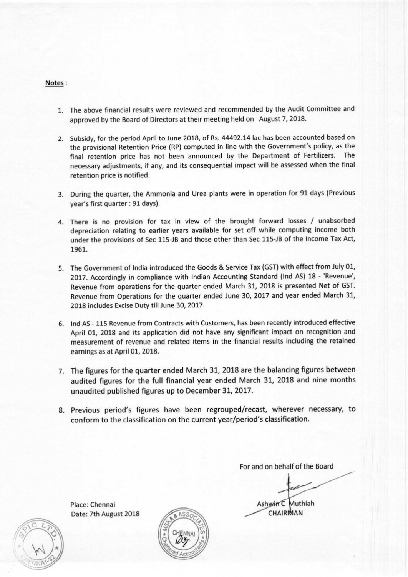## Notes :

- The above financial results were reviewed and recommended by the Audit Committee and approved by the Board of Directors at their meeting held on August 7, 2018.
- 2. Subsidy, for the period April to June 2018, of Rs. 44492.14 lac has been accounted based on the provisional Retention Price (RP) computed in line with the Government's policy, as the final retention price has not been announced by the Department of Fertilizers. The necessary adjustments, if any, and its consequential impact will be assessed when the final retention price is notified.
- During the quarter, the Ammonia and Urea plants were in operation for <sup>91</sup> days (Previous year's first quarter: 91 days).
- There is no provision for tax in view of the brought forward losses / unabsorbed depreciation relating to earlier years available for set off while computing income both under the provisions of Sec 115-JB and those other than Sec 115-JB of the Income Tax Act, 1961.
- The Government of India introduced the Goods & Service Tax (GST) with effect from July 01, 2017. Accordingly in compliance with Indian Accounting Standard (Ind AS) <sup>18</sup> - 'Revenue', Revenue from operations for the quarter ended March 31, <sup>2018</sup> is presented Net of GST. Revenue from Operations for the quarter ended June 30, 2017 and year ended March 31, 2018 includes Excise Duty till June 30, 2017.
- Ind AS 115 Revenue from Contracts with Customers, has been recently introduced effective April 01, 2018 and its application did not have any significant impact on recognition and measurement of revenue and related items in the financial results including the retained earnings as at April 01, 2018.
- 7. The figures for the quarter ended March 31, 2018 are the balancing figures between audited figures for the full financial year ended March 31, 2018 and nine months unaudited published figures up to December 31, 2017.
- 8. Previous period's figures have been regrouped/recast, wherever necessary, to conform to the classification on the current year/period's classification.

For and on behalf of the Board

Ashwin C Muthiah **CHAIRMAN** 

Place: Chennai Date: 7th August 2018



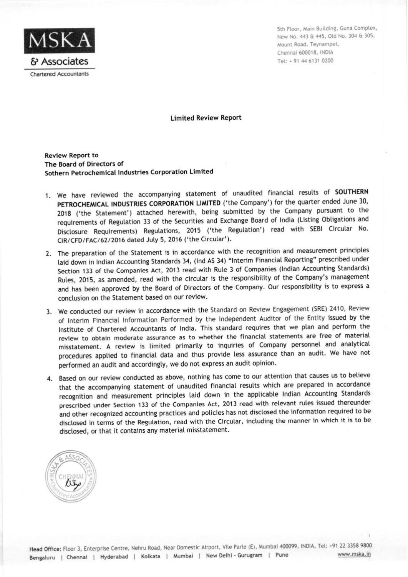

5th Floor, Main Building, Guna Complex, New No. 443 & 445, Old No. 304 & 305, Mount Road, Teynampet, Chennai 600018. INDIA Tel: + 91 44 6131 0200

Limited Review Report

Review Report to The Board of Directors of Sothern Petrochemical Industries Corporation Limited

- 1. We have reviewed the accompanying statement of unaudited financial results of SOUTHERN PETROCHEMICAL INDUSTRIES CORPORATION LIMITED ('the Company') for the quarter ended June 30, <sup>2018</sup> ('the Statement') attached herewith, being submitted by the Company pursuant to the requirements of Regulation <sup>33</sup> of the Securities and Exchange Board of India (Listing Obligations and Disclosure Requirements) Regulations, <sup>2015</sup> ('the Regulation') read with SEBI Circular No. ClR/CFD/FAC/62/2016 dated July 5, 2016 ('the Circular').
- 2. The preparation of the Statement is in accordance with the recognition and measurement principles laid down in Indian Accounting Standards 34, (Ind AS 34) "Interim Financial Reporting" prescribed under Section <sup>133</sup> of the Companies Act, <sup>2013</sup> read with Rule <sup>3</sup> of Companies (Indian Accounting Standards) Rules, 2015, as amended, read with the circular is the responsibility of the Company's management and has been approved by the Board of Directors of the Company. Our responsibility is to express <sup>a</sup> conclusion on the Statement based on our review.
- 3. We conducted our review in accordance with the Standard on Review Engagement (SRE) 2410, Review of Interim Financial Information Performed by the Independent Auditor of the Entity issued by the Institute of Chartered Accountants of India. This standard requires that we plan and perform the review to obtain moderate assurance as to whether the financial statements are free of material misstatement. <sup>A</sup> review is limited primarily to inquiries of Company personnel and analytical procedures applied to financial data and thus provide less assurance than an audit. We have not performed an audit and accordingly, we do not express an audit opinion.
- 4. Based on our review conducted as above, nothing has come to our attention that causes us to believe that the accompanying statement of unaudited financial results which are prepared in accordance recognition and measurement principles laid down in the applicable Indian Accounting Standards prescribed under Section <sup>133</sup> of the Companies Act, <sup>2013</sup> read with relevant rules issued thereunder and other recognized accounting practices and policies has not disclosed the information required to be disclosed in terms of the Regulation, read with the Circular, including the manner in which it is to be disclosed, or that it contains any material misstatement.